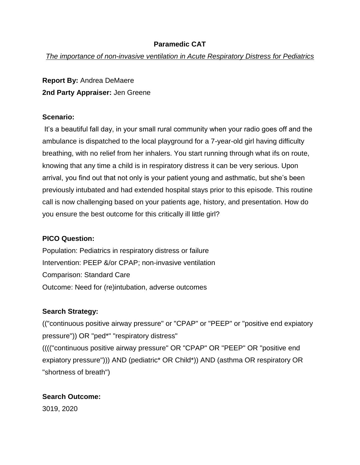## **Paramedic CAT**

*The importance of non-invasive ventilation in Acute Respiratory Distress for Pediatrics*

**Report By:** Andrea DeMaere **2nd Party Appraiser:** Jen Greene

### **Scenario:**

It's a beautiful fall day, in your small rural community when your radio goes off and the ambulance is dispatched to the local playground for a 7-year-old girl having difficulty breathing, with no relief from her inhalers. You start running through what ifs on route, knowing that any time a child is in respiratory distress it can be very serious. Upon arrival, you find out that not only is your patient young and asthmatic, but she's been previously intubated and had extended hospital stays prior to this episode. This routine call is now challenging based on your patients age, history, and presentation. How do you ensure the best outcome for this critically ill little girl?

### **PICO Question:**

Population: Pediatrics in respiratory distress or failure Intervention: PEEP &/or CPAP; non-invasive ventilation Comparison: Standard Care Outcome: Need for (re)intubation, adverse outcomes

# **Search Strategy:**

(("continuous positive airway pressure" or "CPAP" or "PEEP" or "positive end expiatory pressure")) OR "ped\*" "respiratory distress" (((("continuous positive airway pressure" OR "CPAP" OR "PEEP" OR "positive end expiatory pressure"))) AND (pediatric\* OR Child\*)) AND (asthma OR respiratory OR "shortness of breath")

# **Search Outcome:**

3019, 2020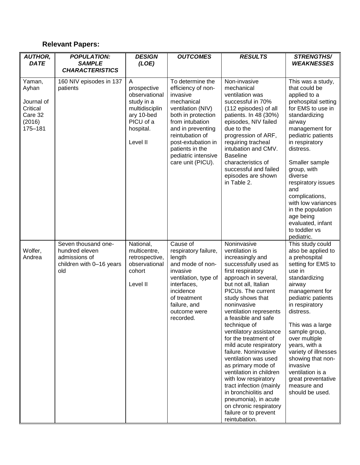# **Relevant Papers:**

| <b>AUTHOR,</b><br><b>DATE</b>                                             | <b>POPULATION:</b><br><b>SAMPLE</b>                                                       | <b>DESIGN</b><br>(LOE)                                                                                                | <b>OUTCOMES</b>                                                                                                                                                                                                                                             | <b>RESULTS</b>                                                                                                                                                                                                                                                                                                                                                                                                                                                                                                                                                                                                               | <b>STRENGTHS/</b><br><b>WEAKNESSES</b>                                                                                                                                                                                                                                                                                                                                                                  |
|---------------------------------------------------------------------------|-------------------------------------------------------------------------------------------|-----------------------------------------------------------------------------------------------------------------------|-------------------------------------------------------------------------------------------------------------------------------------------------------------------------------------------------------------------------------------------------------------|------------------------------------------------------------------------------------------------------------------------------------------------------------------------------------------------------------------------------------------------------------------------------------------------------------------------------------------------------------------------------------------------------------------------------------------------------------------------------------------------------------------------------------------------------------------------------------------------------------------------------|---------------------------------------------------------------------------------------------------------------------------------------------------------------------------------------------------------------------------------------------------------------------------------------------------------------------------------------------------------------------------------------------------------|
|                                                                           | <b>CHARACTERISTICS</b>                                                                    |                                                                                                                       |                                                                                                                                                                                                                                                             |                                                                                                                                                                                                                                                                                                                                                                                                                                                                                                                                                                                                                              |                                                                                                                                                                                                                                                                                                                                                                                                         |
| Yaman,<br>Ayhan<br>Journal of<br>Critical<br>Care 32<br>(2016)<br>175-181 | 160 NIV episodes in 137<br>patients                                                       | Α<br>prospective<br>observational<br>study in a<br>multidisciplin<br>ary 10-bed<br>PICU of a<br>hospital.<br>Level II | To determine the<br>efficiency of non-<br>invasive<br>mechanical<br>ventilation (NIV)<br>both in protection<br>from intubation<br>and in preventing<br>reintubation of<br>post-extubation in<br>patients in the<br>pediatric intensive<br>care unit (PICU). | Non-invasive<br>mechanical<br>ventilation was<br>successful in 70%<br>(112 episodes) of all<br>patients. In 48 (30%)<br>episodes, NIV failed<br>due to the<br>progression of ARF,<br>requiring tracheal<br>intubation and CMV.<br><b>Baseline</b><br>characteristics of<br>successful and failed<br>episodes are shown<br>in Table 2.                                                                                                                                                                                                                                                                                        | This was a study,<br>that could be<br>applied to a<br>prehospital setting<br>for EMS to use in<br>standardizing<br>airway<br>management for<br>pediatric patients<br>in respiratory<br>distress.<br>Smaller sample<br>group, with<br>diverse<br>respiratory issues<br>and<br>complications,<br>with low variances<br>in the population<br>age being<br>evaluated, infant<br>to toddler vs<br>pediatric. |
| Wolfer,<br>Andrea                                                         | Seven thousand one-<br>hundred eleven<br>admissions of<br>children with 0-16 years<br>old | National,<br>multicentre,<br>retrospective,<br>observational<br>cohort<br>Level II                                    | Cause of<br>respiratory failure,<br>length<br>and mode of non-<br>invasive<br>ventilation, type of<br>interfaces,<br>incidence<br>of treatment<br>failure, and<br>outcome were<br>recorded.                                                                 | Noninvasive<br>ventilation is<br>increasingly and<br>successfully used as<br>first respiratory<br>approach in several,<br>but not all, Italian<br>PICUs. The current<br>study shows that<br>noninvasive<br>ventilation represents<br>a feasible and safe<br>technique of<br>ventilatory assistance<br>for the treatment of<br>mild acute respiratory<br>failure. Noninvasive<br>ventilation was used<br>as primary mode of<br>ventilation in children<br>with low respiratory<br>tract infection (mainly<br>in bronchiolitis and<br>pneumonia), in acute<br>on chronic respiratory<br>failure or to prevent<br>reintubation. | This study could<br>also be applied to<br>a prehospital<br>setting for EMS to<br>use in<br>standardizing<br>airway<br>management for<br>pediatric patients<br>in respiratory<br>distress.<br>This was a large<br>sample group,<br>over multiple<br>years, with a<br>variety of illnesses<br>showing that non-<br>invasive<br>ventilation is a<br>great preventative<br>measure and<br>should be used.   |